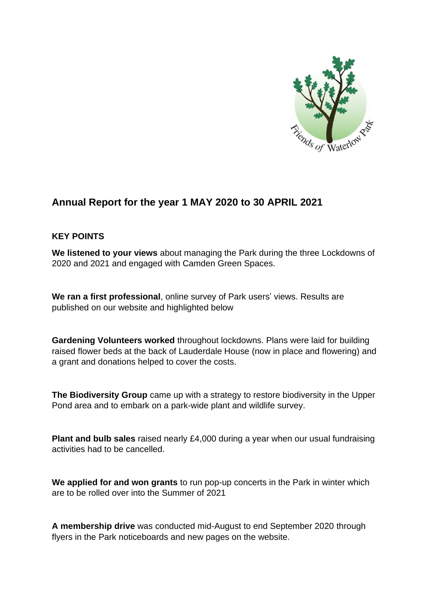

# **Annual Report for the year 1 MAY 2020 to 30 APRIL 2021**

### **KEY POINTS**

**We listened to your views** about managing the Park during the three Lockdowns of 2020 and 2021 and engaged with Camden Green Spaces.

**We ran a first professional**, online survey of Park users' views. Results are published on our website and highlighted below

**Gardening Volunteers worked** throughout lockdowns. Plans were laid for building raised flower beds at the back of Lauderdale House (now in place and flowering) and a grant and donations helped to cover the costs.

**The Biodiversity Group** came up with a strategy to restore biodiversity in the Upper Pond area and to embark on a park-wide plant and wildlife survey.

**Plant and bulb sales** raised nearly £4,000 during a year when our usual fundraising activities had to be cancelled.

**We applied for and won grants** to run pop-up concerts in the Park in winter which are to be rolled over into the Summer of 2021

**A membership drive** was conducted mid-August to end September 2020 through flyers in the Park noticeboards and new pages on the website.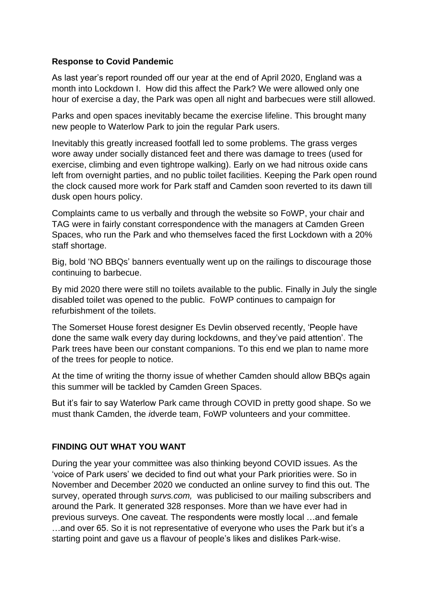### **Response to Covid Pandemic**

As last year's report rounded off our year at the end of April 2020, England was a month into Lockdown I. How did this affect the Park? We were allowed only one hour of exercise a day, the Park was open all night and barbecues were still allowed.

Parks and open spaces inevitably became the exercise lifeline. This brought many new people to Waterlow Park to join the regular Park users.

Inevitably this greatly increased footfall led to some problems. The grass verges wore away under socially distanced feet and there was damage to trees (used for exercise, climbing and even tightrope walking). Early on we had nitrous oxide cans left from overnight parties, and no public toilet facilities. Keeping the Park open round the clock caused more work for Park staff and Camden soon reverted to its dawn till dusk open hours policy.

Complaints came to us verbally and through the website so FoWP, your chair and TAG were in fairly constant correspondence with the managers at Camden Green Spaces, who run the Park and who themselves faced the first Lockdown with a 20% staff shortage.

Big, bold 'NO BBQs' banners eventually went up on the railings to discourage those continuing to barbecue.

By mid 2020 there were still no toilets available to the public. Finally in July the single disabled toilet was opened to the public. FoWP continues to campaign for refurbishment of the toilets.

The Somerset House forest designer Es Devlin observed recently, 'People have done the same walk every day during lockdowns, and they've paid attention'. The Park trees have been our constant companions. To this end we plan to name more of the trees for people to notice.

At the time of writing the thorny issue of whether Camden should allow BBQs again this summer will be tackled by Camden Green Spaces.

But it's fair to say Waterlow Park came through COVID in pretty good shape. So we must thank Camden, the *i*dverde team, FoWP volunteers and your committee.

### **FINDING OUT WHAT YOU WANT**

During the year your committee was also thinking beyond COVID issues. As the 'voice of Park users' we decided to find out what your Park priorities were. So in November and December 2020 we conducted an online survey to find this out. The survey, operated through *survs.com,* was publicised to our mailing subscribers and around the Park. It generated 328 responses. More than we have ever had in previous surveys. One caveat. The respondents were mostly local …and female …and over 65. So it is not representative of everyone who uses the Park but it's a starting point and gave us a flavour of people's likes and dislikes Park-wise.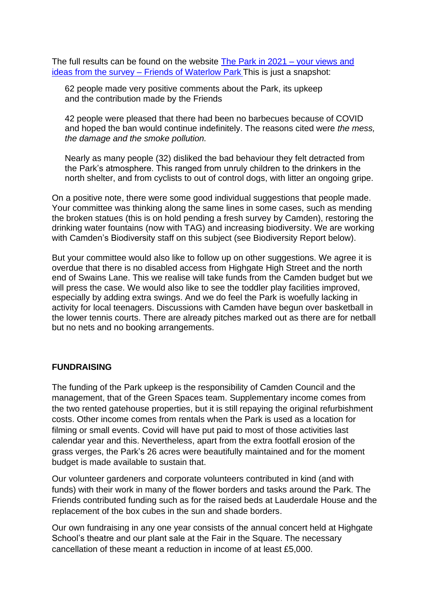The full results can be found on the website The Park in 2021 – [your views and](https://www.waterlowpark.org.uk/the-park-in-2021-tell-us-your-views/)  ideas from the survey – [Friends of Waterlow Park](https://www.waterlowpark.org.uk/the-park-in-2021-tell-us-your-views/) This is just a snapshot:

62 people made very positive comments about the Park, its upkeep and the contribution made by the Friends

42 people were pleased that there had been no barbecues because of COVID and hoped the ban would continue indefinitely. The reasons cited were *the mess, the damage and the smoke pollution.*

Nearly as many people (32) disliked the bad behaviour they felt detracted from the Park's atmosphere. This ranged from unruly children to the drinkers in the north shelter, and from cyclists to out of control dogs, with litter an ongoing gripe.

On a positive note, there were some good individual suggestions that people made. Your committee was thinking along the same lines in some cases, such as mending the broken statues (this is on hold pending a fresh survey by Camden), restoring the drinking water fountains (now with TAG) and increasing biodiversity. We are working with Camden's Biodiversity staff on this subject (see Biodiversity Report below).

But your committee would also like to follow up on other suggestions. We agree it is overdue that there is no disabled access from Highgate High Street and the north end of Swains Lane. This we realise will take funds from the Camden budget but we will press the case. We would also like to see the toddler play facilities improved, especially by adding extra swings. And we do feel the Park is woefully lacking in activity for local teenagers. Discussions with Camden have begun over basketball in the lower tennis courts. There are already pitches marked out as there are for netball but no nets and no booking arrangements.

#### **FUNDRAISING**

The funding of the Park upkeep is the responsibility of Camden Council and the management, that of the Green Spaces team. Supplementary income comes from the two rented gatehouse properties, but it is still repaying the original refurbishment costs. Other income comes from rentals when the Park is used as a location for filming or small events. Covid will have put paid to most of those activities last calendar year and this. Nevertheless, apart from the extra footfall erosion of the grass verges, the Park's 26 acres were beautifully maintained and for the moment budget is made available to sustain that.

Our volunteer gardeners and corporate volunteers contributed in kind (and with funds) with their work in many of the flower borders and tasks around the Park. The Friends contributed funding such as for the raised beds at Lauderdale House and the replacement of the box cubes in the sun and shade borders.

Our own fundraising in any one year consists of the annual concert held at Highgate School's theatre and our plant sale at the Fair in the Square. The necessary cancellation of these meant a reduction in income of at least £5,000.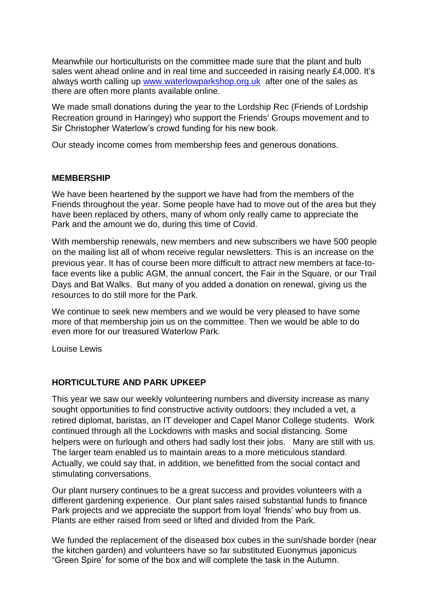Meanwhile our horticulturists on the committee made sure that the plant and bulb sales went ahead online and in real time and succeeded in raising nearly £4,000. It's always worth calling up [www.waterlowparkshop.org.uk](http://www.waterlowparkshop.org.uk/) after one of the sales as there are often more plants available online.

We made small donations during the year to the Lordship Rec (Friends of Lordship Recreation ground in Haringey) who support the Friends' Groups movement and to Sir Christopher Waterlow's crowd funding for his new book.

Our steady income comes from membership fees and generous donations.

#### **MEMBERSHIP**

We have been heartened by the support we have had from the members of the Friends throughout the year. Some people have had to move out of the area but they have been replaced by others, many of whom only really came to appreciate the Park and the amount we do, during this time of Covid.

With membership renewals, new members and new subscribers we have 500 people on the mailing list all of whom receive regular newsletters. This is an increase on the previous year. It has of course been more difficult to attract new members at face-toface events like a public AGM, the annual concert, the Fair in the Square, or our Trail Days and Bat Walks. But many of you added a donation on renewal, giving us the resources to do still more for the Park.

We continue to seek new members and we would be very pleased to have some more of that membership join us on the committee. Then we would be able to do even more for our treasured Waterlow Park.

Louise Lewis

## **HORTICULTURE AND PARK UPKEEP**

This year we saw our weekly volunteering numbers and diversity increase as many sought opportunities to find constructive activity outdoors; they included a vet, a retired diplomat, baristas, an IT developer and Capel Manor College students. Work continued through all the Lockdowns with masks and social distancing. Some helpers were on furlough and others had sadly lost their jobs. Many are still with us. The larger team enabled us to maintain areas to a more meticulous standard. Actually, we could say that, in addition, we benefitted from the social contact and stimulating conversations.

Our plant nursery continues to be a great success and provides volunteers with a different gardening experience. Our plant sales raised substantial funds to finance Park projects and we appreciate the support from loyal 'friends' who buy from us. Plants are either raised from seed or lifted and divided from the Park.

We funded the replacement of the diseased box cubes in the sun/shade border (near the kitchen garden) and volunteers have so far substituted Euonymus japonicus "Green Spire' for some of the box and will complete the task in the Autumn.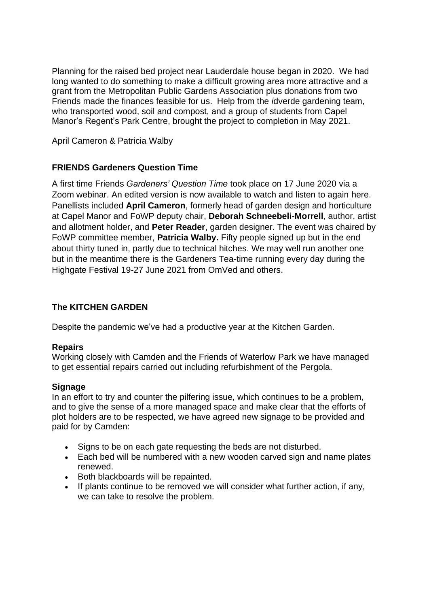Planning for the raised bed project near Lauderdale house began in 2020. We had long wanted to do something to make a difficult growing area more attractive and a grant from the Metropolitan Public Gardens Association plus donations from two Friends made the finances feasible for us. Help from the *i*dverde gardening team, who transported wood, soil and compost, and a group of students from Capel Manor's Regent's Park Centre, brought the project to completion in May 2021.

April Cameron & Patricia Walby

## **FRIENDS Gardeners Question Time**

A first time Friends *Gardeners' Question Time* took place on 17 June 2020 via a Zoom webinar. An edited version is now available to watch and listen to again [here.](https://www.youtube.com/watch?v=iiBmYpdRUfY) Panellists included **April Cameron**, formerly head of garden design and horticulture at Capel Manor and FoWP deputy chair, **Deborah Schneebeli-Morrell**, author, artist and allotment holder, and **Peter Reader**, garden designer. The event was chaired by FoWP committee member, **Patricia Walby.** Fifty people signed up but in the end about thirty tuned in, partly due to technical hitches. We may well run another one but in the meantime there is the Gardeners Tea-time running every day during the Highgate Festival 19-27 June 2021 from OmVed and others.

# **The KITCHEN GARDEN**

Despite the pandemic we've had a productive year at the Kitchen Garden.

## **Repairs**

Working closely with Camden and the Friends of Waterlow Park we have managed to get essential repairs carried out including refurbishment of the Pergola.

### **Signage**

In an effort to try and counter the pilfering issue, which continues to be a problem, and to give the sense of a more managed space and make clear that the efforts of plot holders are to be respected, we have agreed new signage to be provided and paid for by Camden:

- Signs to be on each gate requesting the beds are not disturbed.
- Each bed will be numbered with a new wooden carved sign and name plates renewed.
- Both blackboards will be repainted.
- If plants continue to be removed we will consider what further action, if any, we can take to resolve the problem.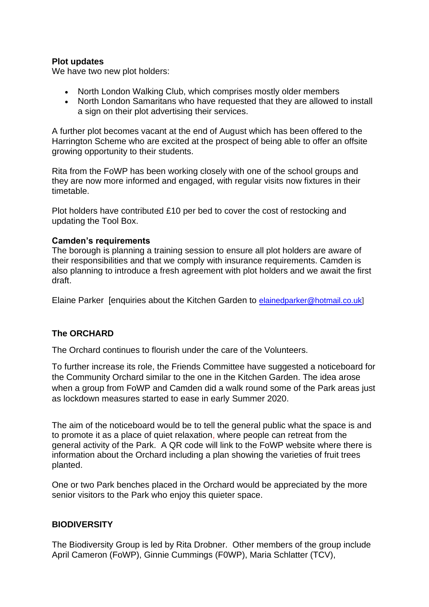### **Plot updates**

We have two new plot holders:

- North London Walking Club, which comprises mostly older members
- North London Samaritans who have requested that they are allowed to install a sign on their plot advertising their services.

A further plot becomes vacant at the end of August which has been offered to the Harrington Scheme who are excited at the prospect of being able to offer an offsite growing opportunity to their students.

Rita from the FoWP has been working closely with one of the school groups and they are now more informed and engaged, with regular visits now fixtures in their timetable.

Plot holders have contributed £10 per bed to cover the cost of restocking and updating the Tool Box.

#### **Camden's requirements**

The borough is planning a training session to ensure all plot holders are aware of their responsibilities and that we comply with insurance requirements. Camden is also planning to introduce a fresh agreement with plot holders and we await the first draft.

Elaine Parker [enquiries about the Kitchen Garden to [elainedparker@hotmail.co.uk\]](mailto:elainedparker@hotmail.co.uk)

### **The ORCHARD**

The Orchard continues to flourish under the care of the Volunteers.

To further increase its role, the Friends Committee have suggested a noticeboard for the Community Orchard similar to the one in the Kitchen Garden. The idea arose when a group from FoWP and Camden did a walk round some of the Park areas just as lockdown measures started to ease in early Summer 2020.

The aim of the noticeboard would be to tell the general public what the space is and to promote it as a place of quiet relaxation, where people can retreat from the general activity of the Park. A QR code will link to the FoWP website where there is information about the Orchard including a plan showing the varieties of fruit trees planted.

One or two Park benches placed in the Orchard would be appreciated by the more senior visitors to the Park who enjoy this quieter space.

### **BIODIVERSITY**

The Biodiversity Group is led by Rita Drobner. Other members of the group include April Cameron (FoWP), Ginnie Cummings (F0WP), Maria Schlatter (TCV),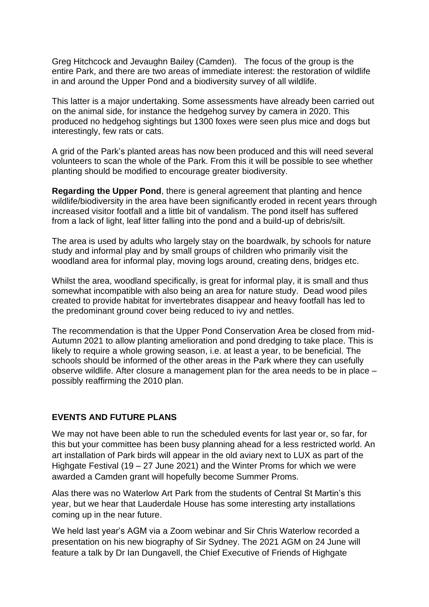Greg Hitchcock and Jevaughn Bailey (Camden). The focus of the group is the entire Park, and there are two areas of immediate interest: the restoration of wildlife in and around the Upper Pond and a biodiversity survey of all wildlife.

This latter is a major undertaking. Some assessments have already been carried out on the animal side, for instance the hedgehog survey by camera in 2020. This produced no hedgehog sightings but 1300 foxes were seen plus mice and dogs but interestingly, few rats or cats.

A grid of the Park's planted areas has now been produced and this will need several volunteers to scan the whole of the Park. From this it will be possible to see whether planting should be modified to encourage greater biodiversity.

**Regarding the Upper Pond**, there is general agreement that planting and hence wildlife/biodiversity in the area have been significantly eroded in recent years through increased visitor footfall and a little bit of vandalism. The pond itself has suffered from a lack of light, leaf litter falling into the pond and a build-up of debris/silt.

The area is used by adults who largely stay on the boardwalk, by schools for nature study and informal play and by small groups of children who primarily visit the woodland area for informal play, moving logs around, creating dens, bridges etc.

Whilst the area, woodland specifically, is great for informal play, it is small and thus somewhat incompatible with also being an area for nature study. Dead wood piles created to provide habitat for invertebrates disappear and heavy footfall has led to the predominant ground cover being reduced to ivy and nettles.

The recommendation is that the Upper Pond Conservation Area be closed from mid-Autumn 2021 to allow planting amelioration and pond dredging to take place. This is likely to require a whole growing season, i.e. at least a year, to be beneficial. The schools should be informed of the other areas in the Park where they can usefully observe wildlife. After closure a management plan for the area needs to be in place – possibly reaffirming the 2010 plan.

### **EVENTS AND FUTURE PLANS**

We may not have been able to run the scheduled events for last year or, so far, for this but your committee has been busy planning ahead for a less restricted world. An art installation of Park birds will appear in the old aviary next to LUX as part of the Highgate Festival (19 – 27 June 2021) and the Winter Proms for which we were awarded a Camden grant will hopefully become Summer Proms.

Alas there was no Waterlow Art Park from the students of Central St Martin's this year, but we hear that Lauderdale House has some interesting arty installations coming up in the near future.

We held last year's AGM via a Zoom webinar and Sir Chris Waterlow recorded a presentation on his new biography of Sir Sydney. The 2021 AGM on 24 June will feature a talk by Dr Ian Dungavell, the Chief Executive of Friends of Highgate